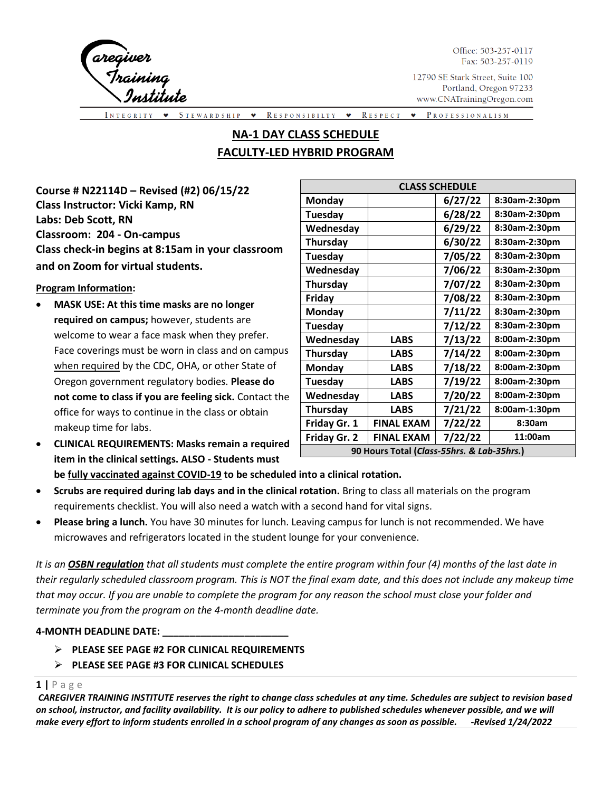

Office: 503-257-0117 Fax: 503-257-0119

12790 SE Stark Street, Suite 100 Portland, Oregon 97233 www.CNATrainingOregon.com

STEWARDSHIP RESPONSIBILTY **W** RESPECT PROFESSIONALISM  $\bullet$  $\langle \rangle$ 

# **NA-1 DAY CLASS SCHEDULE FACULTY-LED HYBRID PROGRAM**

**Course # N22114D – Revised (#2) 06/15/22 Class Instructor: Vicki Kamp, RN Labs: Deb Scott, RN Classroom: 204 - On-campus Class check-in begins at 8:15am in your classroom and on Zoom for virtual students.** 

## **Program Information:**

- **MASK USE: At this time masks are no longer required on campus;** however, students are welcome to wear a face mask when they prefer. Face coverings must be worn in class and on campus when required by the CDC, OHA, or other State of Oregon government regulatory bodies. **Please do not come to class if you are feeling sick.** Contact the office for ways to continue in the class or obtain makeup time for labs.
- **CLINICAL REQUIREMENTS: Masks remain a required item in the clinical settings. ALSO - Students must**

| <b>CLASS SCHEDULE</b>                      |                   |         |               |  |
|--------------------------------------------|-------------------|---------|---------------|--|
| <b>Monday</b>                              |                   | 6/27/22 | 8:30am-2:30pm |  |
| Tuesday                                    |                   | 6/28/22 | 8:30am-2:30pm |  |
| Wednesday                                  |                   | 6/29/22 | 8:30am-2:30pm |  |
| Thursday                                   |                   | 6/30/22 | 8:30am-2:30pm |  |
| Tuesday                                    |                   | 7/05/22 | 8:30am-2:30pm |  |
| Wednesday                                  |                   | 7/06/22 | 8:30am-2:30pm |  |
| Thursday                                   |                   | 7/07/22 | 8:30am-2:30pm |  |
| Friday                                     |                   | 7/08/22 | 8:30am-2:30pm |  |
| <b>Monday</b>                              |                   | 7/11/22 | 8:30am-2:30pm |  |
| Tuesday                                    |                   | 7/12/22 | 8:30am-2:30pm |  |
| Wednesday                                  | <b>LABS</b>       | 7/13/22 | 8:00am-2:30pm |  |
| Thursday                                   | <b>LABS</b>       | 7/14/22 | 8:00am-2:30pm |  |
| <b>Monday</b>                              | <b>LABS</b>       | 7/18/22 | 8:00am-2:30pm |  |
| Tuesday                                    | <b>LABS</b>       | 7/19/22 | 8:00am-2:30pm |  |
| Wednesday                                  | <b>LABS</b>       | 7/20/22 | 8:00am-2:30pm |  |
| Thursday                                   | <b>LABS</b>       | 7/21/22 | 8:00am-1:30pm |  |
| Friday Gr. 1                               | FINAL EXAM        | 7/22/22 | 8:30am        |  |
| Friday Gr. 2                               | <b>FINAL EXAM</b> | 7/22/22 | 11:00am       |  |
| 90 Hours Total (Class-55hrs. & Lab-35hrs.) |                   |         |               |  |

# **be fully vaccinated against COVID-19 to be scheduled into a clinical rotation.**

- **Scrubs are required during lab days and in the clinical rotation.** Bring to class all materials on the program requirements checklist. You will also need a watch with a second hand for vital signs.
- **Please bring a lunch.** You have 30 minutes for lunch. Leaving campus for lunch is not recommended. We have microwaves and refrigerators located in the student lounge for your convenience.

*It is an OSBN regulation that all students must complete the entire program within four (4) months of the last date in their regularly scheduled classroom program. This is NOT the final exam date, and this does not include any makeup time that may occur. If you are unable to complete the program for any reason the school must close your folder and terminate you from the program on the 4-month deadline date.* 

## **4-MONTH DEADLINE DATE: \_\_\_\_\_\_\_\_\_\_\_\_\_\_\_\_\_\_\_\_\_\_\_**

- ➢ **PLEASE SEE PAGE #2 FOR CLINICAL REQUIREMENTS**
- ➢ **PLEASE SEE PAGE #3 FOR CLINICAL SCHEDULES**

# **1 |** P a g e

*CAREGIVER TRAINING INSTITUTE reserves the right to change class schedules at any time. Schedules are subject to revision based on school, instructor, and facility availability. It is our policy to adhere to published schedules whenever possible, and we will make every effort to inform students enrolled in a school program of any changes as soon as possible. -Revised 1/24/2022*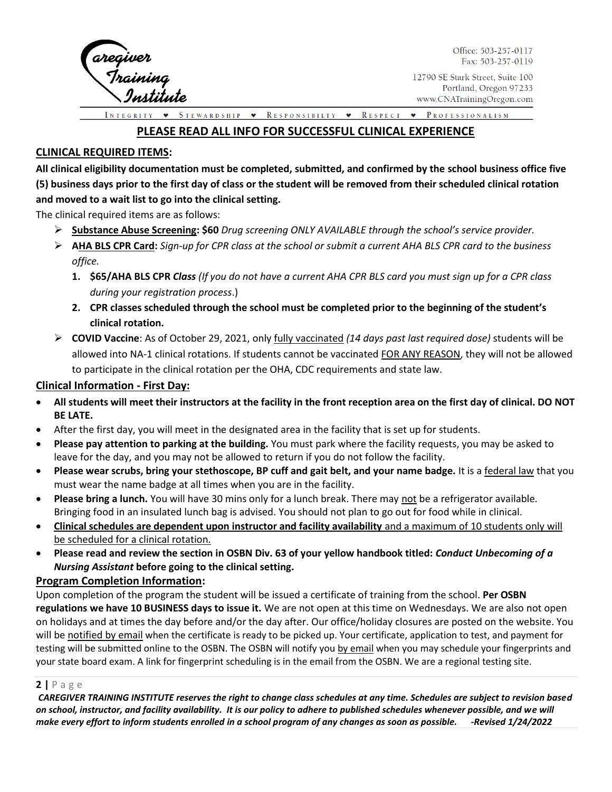

Office: 503-257-0117 Fax: 503-257-0119

STEWARDSHIP  $\bullet$ RESPONSIBILTY • RESPECT • PROFESSIONALISM

# **PLEASE READ ALL INFO FOR SUCCESSFUL CLINICAL EXPERIENCE**

## **CLINICAL REQUIRED ITEMS:**

**All clinical eligibility documentation must be completed, submitted, and confirmed by the school business office five (5) business days prior to the first day of class or the student will be removed from their scheduled clinical rotation and moved to a wait list to go into the clinical setting.** 

The clinical required items are as follows:

- ➢ **Substance Abuse Screening: \$60** *Drug screening ONLY AVAILABLE through the school's service provider.*
- ➢ **AHA BLS CPR Card:** *Sign-up for CPR class at the school or submit a current AHA BLS CPR card to the business office.* 
	- **1. \$65/AHA BLS CPR** *Class (If you do not have a current AHA CPR BLS card you must sign up for a CPR class during your registration process*.)
	- **2. CPR classes scheduled through the school must be completed prior to the beginning of the student's clinical rotation.**
- ➢ **COVID Vaccine**: As of October 29, 2021, only fully vaccinated *(14 days past last required dose)* students will be allowed into NA-1 clinical rotations. If students cannot be vaccinated FOR ANY REASON, they will not be allowed to participate in the clinical rotation per the OHA, CDC requirements and state law.

## **Clinical Information - First Day:**

- **All students will meet their instructors at the facility in the front reception area on the first day of clinical. DO NOT BE LATE.**
- After the first day, you will meet in the designated area in the facility that is set up for students.
- **Please pay attention to parking at the building.** You must park where the facility requests, you may be asked to leave for the day, and you may not be allowed to return if you do not follow the facility.
- **Please wear scrubs, bring your stethoscope, BP cuff and gait belt, and your name badge.** It is a federal law that you must wear the name badge at all times when you are in the facility.
- **Please bring a lunch.** You will have 30 mins only for a lunch break. There may not be a refrigerator available. Bringing food in an insulated lunch bag is advised. You should not plan to go out for food while in clinical.
- **Clinical schedules are dependent upon instructor and facility availability** and a maximum of 10 students only will be scheduled for a clinical rotation.
- **Please read and review the section in OSBN Div. 63 of your yellow handbook titled:** *Conduct Unbecoming of a Nursing Assistant* **before going to the clinical setting.**

## **Program Completion Information:**

Upon completion of the program the student will be issued a certificate of training from the school. **Per OSBN regulations we have 10 BUSINESS days to issue it.** We are not open at this time on Wednesdays. We are also not open on holidays and at times the day before and/or the day after. Our office/holiday closures are posted on the website. You will be notified by email when the certificate is ready to be picked up. Your certificate, application to test, and payment for testing will be submitted online to the OSBN. The OSBN will notify you by email when you may schedule your fingerprints and your state board exam. A link for fingerprint scheduling is in the email from the OSBN. We are a regional testing site.

## **2 |** P a g e

*CAREGIVER TRAINING INSTITUTE reserves the right to change class schedules at any time. Schedules are subject to revision based on school, instructor, and facility availability. It is our policy to adhere to published schedules whenever possible, and we will make every effort to inform students enrolled in a school program of any changes as soon as possible. -Revised 1/24/2022*